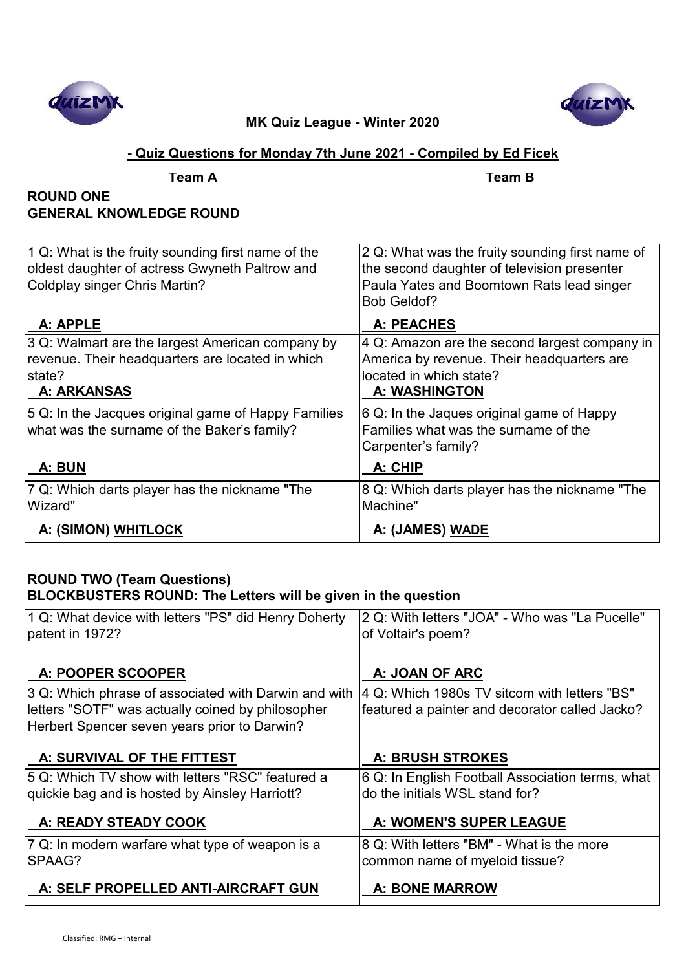



## **- Quiz Questions for Monday 7th June 2021 - Compiled by Ed Ficek**

| Team |
|------|
|      |

**Team A Team B**

# **ROUND ONE GENERAL KNOWLEDGE ROUND**

| 1 Q: What is the fruity sounding first name of the<br>oldest daughter of actress Gwyneth Paltrow and<br>Coldplay singer Chris Martin? | 2 Q: What was the fruity sounding first name of<br>the second daughter of television presenter<br>Paula Yates and Boomtown Rats lead singer<br>Bob Geldof? |
|---------------------------------------------------------------------------------------------------------------------------------------|------------------------------------------------------------------------------------------------------------------------------------------------------------|
| A: APPLE                                                                                                                              | A: PEACHES                                                                                                                                                 |
| 3 Q: Walmart are the largest American company by<br>revenue. Their headquarters are located in which<br>state?<br><b>A: ARKANSAS</b>  | 4 Q: Amazon are the second largest company in<br>America by revenue. Their headquarters are<br>located in which state?<br><b>A: WASHINGTON</b>             |
| 5 Q: In the Jacques original game of Happy Families<br>what was the surname of the Baker's family?                                    | 6 Q: In the Jaques original game of Happy<br>Families what was the surname of the<br>Carpenter's family?                                                   |
| A: BUN                                                                                                                                | A: CHIP                                                                                                                                                    |
| 7 Q: Which darts player has the nickname "The<br>Wizard"                                                                              | 8 Q: Which darts player has the nickname "The<br>Machine"                                                                                                  |
| A: (SIMON) WHITLOCK                                                                                                                   | A: (JAMES) WADE                                                                                                                                            |

# **ROUND TWO (Team Questions) BLOCKBUSTERS ROUND: The Letters will be given in the question**

| 1 Q: What device with letters "PS" did Henry Doherty<br>patent in 1972? | 2 Q: With letters "JOA" - Who was "La Pucelle"<br>of Voltair's poem? |
|-------------------------------------------------------------------------|----------------------------------------------------------------------|
| A: POOPER SCOOPER                                                       | A: JOAN OF ARC                                                       |
| 3 Q: Which phrase of associated with Darwin and with                    | 4 Q: Which 1980s TV sitcom with letters "BS"                         |
| letters "SOTF" was actually coined by philosopher                       | featured a painter and decorator called Jacko?                       |
| Herbert Spencer seven years prior to Darwin?                            |                                                                      |
| A: SURVIVAL OF THE FITTEST                                              | <b>A: BRUSH STROKES</b>                                              |
| 5 Q: Which TV show with letters "RSC" featured a                        | 6 Q: In English Football Association terms, what                     |
| quickie bag and is hosted by Ainsley Harriott?                          | do the initials WSL stand for?                                       |
| A: READY STEADY COOK                                                    | A: WOMEN'S SUPER LEAGUE                                              |
| 7 Q: In modern warfare what type of weapon is a                         | 8 Q: With letters "BM" - What is the more                            |
| SPAAG?                                                                  | common name of myeloid tissue?                                       |
| A: SELF PROPELLED ANTI-AIRCRAFT GUN                                     | <b>A: BONE MARROW</b>                                                |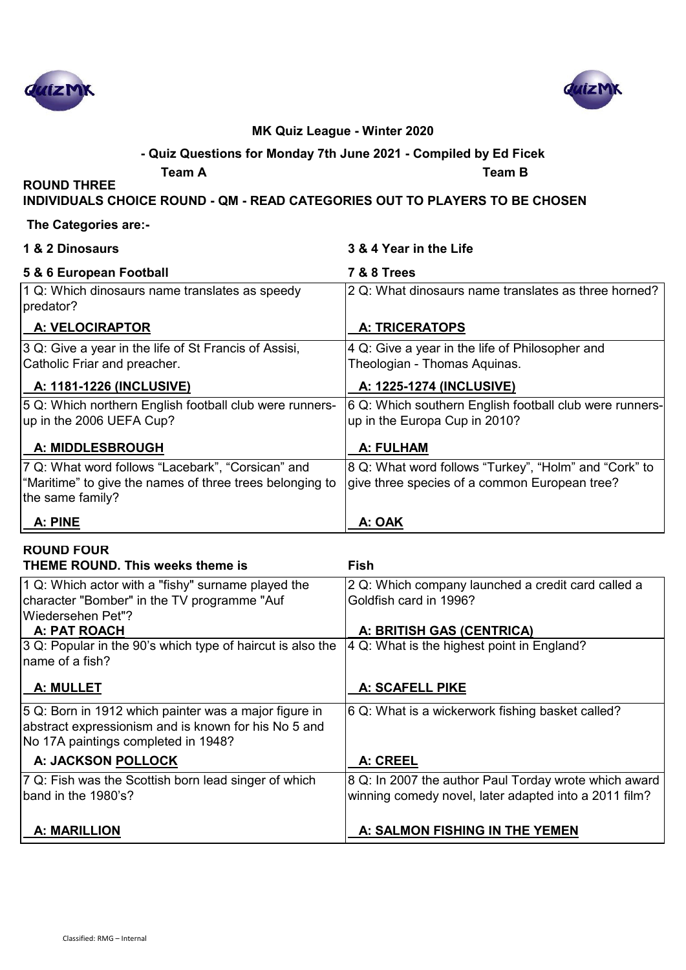



# **- Quiz Questions for Monday 7th June 2021 - Compiled by Ed Ficek**

**Team A Team B**

# **INDIVIDUALS CHOICE ROUND - QM - READ CATEGORIES OUT TO PLAYERS TO BE CHOSEN**

#### **The Categories are:-**

**ROUND THREE** 

| 1 & 2 Dinosaurs                                                                                                                   | 3 & 4 Year in the Life                                                                                 |
|-----------------------------------------------------------------------------------------------------------------------------------|--------------------------------------------------------------------------------------------------------|
| 5 & 6 European Football                                                                                                           | <b>7 &amp; 8 Trees</b>                                                                                 |
| 1 Q: Which dinosaurs name translates as speedy<br>predator?                                                                       | 2 Q: What dinosaurs name translates as three horned?                                                   |
| A: VELOCIRAPTOR                                                                                                                   | <b>A: TRICERATOPS</b>                                                                                  |
| 3 Q: Give a year in the life of St Francis of Assisi,<br>Catholic Friar and preacher.                                             | 4 Q: Give a year in the life of Philosopher and<br>Theologian - Thomas Aquinas.                        |
| <u>A: 1181-1226 (INCLUSIVE)</u>                                                                                                   | A: 1225-1274 (INCLUSIVE)                                                                               |
| 5 Q: Which northern English football club were runners-<br>up in the 2006 UEFA Cup?                                               | 6 Q: Which southern English football club were runners-<br>up in the Europa Cup in 2010?               |
| <b>A: MIDDLESBROUGH</b>                                                                                                           | A: FULHAM                                                                                              |
| 7 Q: What word follows "Lacebark", "Corsican" and<br>"Maritime" to give the names of three trees belonging to<br>the same family? | 8 Q: What word follows "Turkey", "Holm" and "Cork" to<br>give three species of a common European tree? |
| A: PINE                                                                                                                           | <b>A: OAK</b>                                                                                          |
| <b>ROUND FOUR</b><br><b>THEME ROUND. This weeks theme is</b>                                                                      | <b>Fish</b>                                                                                            |
|                                                                                                                                   |                                                                                                        |
| 1 Q: Which actor with a "fishy" surname played the<br>character "Bomber" in the TV programme "Auf<br>Wiedersehen Pet"?            | 2 Q: Which company launched a credit card called a<br>Goldfish card in 1996?                           |
| A: PAT ROACH                                                                                                                      | A: BRITISH GAS (CENTRICA)                                                                              |

| 3 Q: Popular in the 90's which type of haircut is also the<br>Iname of a fish?                                                                       | 4 Q: What is the highest point in England?                                                                     |
|------------------------------------------------------------------------------------------------------------------------------------------------------|----------------------------------------------------------------------------------------------------------------|
| <b>A: MULLET</b>                                                                                                                                     | <b>A: SCAFELL PIKE</b>                                                                                         |
| 5 Q: Born in 1912 which painter was a major figure in<br>abstract expressionism and is known for his No 5 and<br>No 17A paintings completed in 1948? | 6 Q: What is a wickerwork fishing basket called?                                                               |
| A: JACKSON POLLOCK                                                                                                                                   | A: CREEL                                                                                                       |
| 7 Q: Fish was the Scottish born lead singer of which<br>band in the 1980's?                                                                          | 8 Q: In 2007 the author Paul Torday wrote which award<br>winning comedy novel, later adapted into a 2011 film? |
| <b>A: MARILLION</b>                                                                                                                                  | A: SALMON FISHING IN THE YEMEN                                                                                 |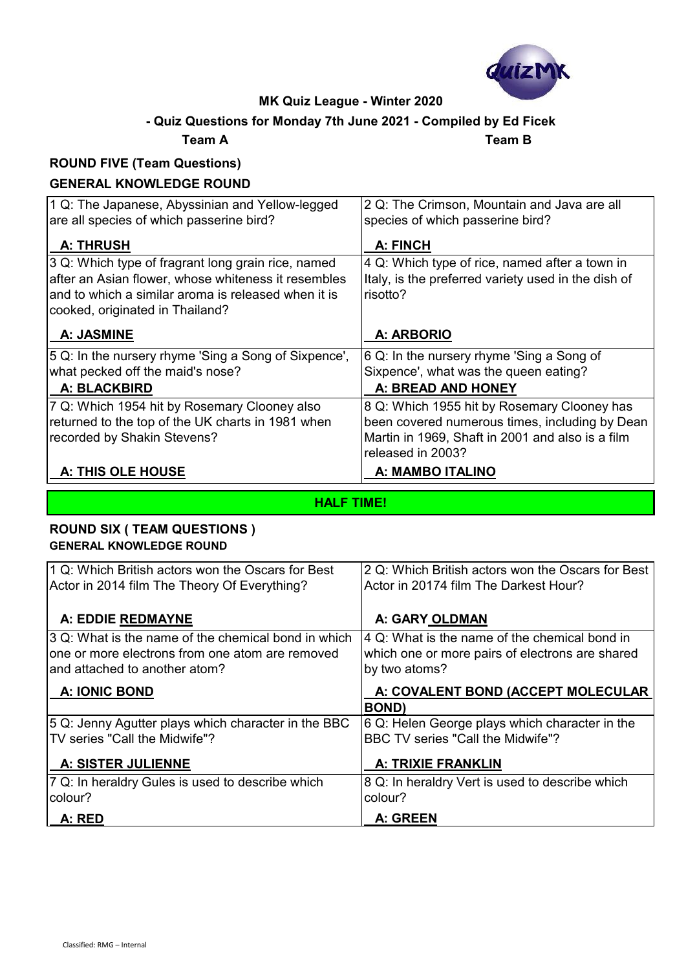

# **- Quiz Questions for Monday 7th June 2021 - Compiled by Ed Ficek**

**Team A Team B**

# **ROUND FIVE (Team Questions)**

## **GENERAL KNOWLEDGE ROUND**

| 1 Q: The Japanese, Abyssinian and Yellow-legged<br>are all species of which passerine bird? | 2 Q: The Crimson, Mountain and Java are all<br>species of which passerine bird? |
|---------------------------------------------------------------------------------------------|---------------------------------------------------------------------------------|
| <b>A: THRUSH</b>                                                                            | A: FINCH                                                                        |
| 3 Q: Which type of fragrant long grain rice, named                                          | 4 Q: Which type of rice, named after a town in                                  |
| after an Asian flower, whose whiteness it resembles                                         | Italy, is the preferred variety used in the dish of                             |
| and to which a similar aroma is released when it is                                         | risotto?                                                                        |
| cooked, originated in Thailand?                                                             |                                                                                 |
| A: JASMINE                                                                                  | A: ARBORIO                                                                      |
| 5 Q: In the nursery rhyme 'Sing a Song of Sixpence',                                        | 6 Q: In the nursery rhyme 'Sing a Song of                                       |
| what pecked off the maid's nose?                                                            | Sixpence', what was the queen eating?                                           |
| A: BLACKBIRD                                                                                | A: BREAD AND HONEY                                                              |
| 7 Q: Which 1954 hit by Rosemary Clooney also                                                | 8 Q: Which 1955 hit by Rosemary Clooney has                                     |
| returned to the top of the UK charts in 1981 when                                           | been covered numerous times, including by Dean                                  |
| recorded by Shakin Stevens?                                                                 | Martin in 1969, Shaft in 2001 and also is a film                                |
|                                                                                             | released in 2003?                                                               |
| A: THIS OLE HOUSE                                                                           | A: MAMBO ITALINO                                                                |

**HALF TIME!**

## **ROUND SIX ( TEAM QUESTIONS ) GENERAL KNOWLEDGE ROUND**

| 1 Q: Which British actors won the Oscars for Best   | 2 Q: Which British actors won the Oscars for Best         |
|-----------------------------------------------------|-----------------------------------------------------------|
| Actor in 2014 film The Theory Of Everything?        | Actor in 20174 film The Darkest Hour?                     |
|                                                     |                                                           |
| A: EDDIE REDMAYNE                                   | A: GARY OLDMAN                                            |
| 3 Q: What is the name of the chemical bond in which | $ 4 \text{ Q}$ : What is the name of the chemical bond in |
| one or more electrons from one atom are removed     | which one or more pairs of electrons are shared           |
| land attached to another atom?                      | by two atoms?                                             |
| <b>A: IONIC BOND</b>                                | A: COVALENT BOND (ACCEPT MOLECULAR                        |
|                                                     | <b>BOND</b> )                                             |
| 5 Q: Jenny Agutter plays which character in the BBC | 6 Q: Helen George plays which character in the            |
| TV series "Call the Midwife"?                       | BBC TV series "Call the Midwife"?                         |
| <b>A: SISTER JULIENNE</b>                           | <b>A: TRIXIE FRANKLIN</b>                                 |
| 7 Q: In heraldry Gules is used to describe which    | 8 Q: In heraldry Vert is used to describe which           |
| colour?                                             | colour?                                                   |
| A: RED                                              | A: GREEN                                                  |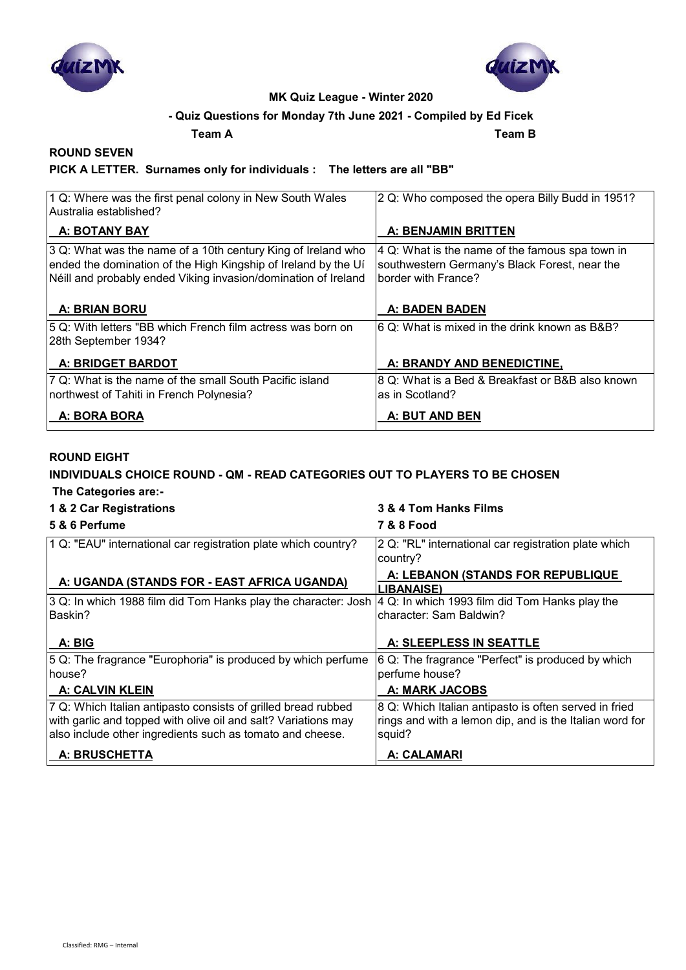



### **- Quiz Questions for Monday 7th June 2021 - Compiled by Ed Ficek**

**Team A Team B**

#### **ROUND SEVEN**

#### **PICK A LETTER. Surnames only for individuals : The letters are all "BB"**

| 1 Q: Where was the first penal colony in New South Wales<br>Australia established?                                                                                                               | 2 Q: Who composed the opera Billy Budd in 1951?                                                                         |
|--------------------------------------------------------------------------------------------------------------------------------------------------------------------------------------------------|-------------------------------------------------------------------------------------------------------------------------|
| A: BOTANY BAY                                                                                                                                                                                    | A: BENJAMIN BRITTEN                                                                                                     |
| 3 Q: What was the name of a 10th century King of Ireland who<br>ended the domination of the High Kingship of Ireland by the Uí<br>Néill and probably ended Viking invasion/domination of Ireland | 4 Q: What is the name of the famous spa town in<br>southwestern Germany's Black Forest, near the<br>border with France? |
| <b>A: BRIAN BORU</b>                                                                                                                                                                             | <b>A: BADEN BADEN</b>                                                                                                   |
| 5 Q: With letters "BB which French film actress was born on<br>28th September 1934?                                                                                                              | 6 Q: What is mixed in the drink known as B&B?                                                                           |
| A: BRIDGET BARDOT                                                                                                                                                                                | A: BRANDY AND BENEDICTINE,                                                                                              |
| 7 Q: What is the name of the small South Pacific island<br>northwest of Tahiti in French Polynesia?                                                                                              | 8 Q: What is a Bed & Breakfast or B&B also known<br>as in Scotland?                                                     |
| A: BORA BORA                                                                                                                                                                                     | A: BUT AND BEN                                                                                                          |

#### **ROUND EIGHT**

# **INDIVIDUALS CHOICE ROUND - QM - READ CATEGORIES OUT TO PLAYERS TO BE CHOSEN**

 **The Categories are:-**

#### **1 & 2 Car Registrations 3 & 4 Tom Hanks Films**

| 5 & 6 Perfume                                                                                                               | <b>7 &amp; 8 Food</b>                                             |
|-----------------------------------------------------------------------------------------------------------------------------|-------------------------------------------------------------------|
| 1 Q: "EAU" international car registration plate which country?                                                              | 2 Q: "RL" international car registration plate which<br>country?  |
| A: UGANDA (STANDS FOR - EAST AFRICA UGANDA)                                                                                 | A: LEBANON (STANDS FOR REPUBLIQUE<br>LIBANAISE)                   |
| ∣3 Q: In which 1988 film did Tom Hanks play the character: Josh ∣4 Q: In which 1993 film did Tom Hanks play the             |                                                                   |
| lBaskin?                                                                                                                    | character: Sam Baldwin?                                           |
| A: BIG                                                                                                                      | A: SLEEPLESS IN SEATTLE                                           |
| 5 Q: The fragrance "Europhoria" is produced by which perfume                                                                | 6 Q: The fragrance "Perfect" is produced by which                 |
| house?                                                                                                                      | perfume house?                                                    |
| <b>A: CALVIN KLEIN</b>                                                                                                      | A: MARK JACOBS                                                    |
| 7 Q: Which Italian antipasto consists of grilled bread rubbed                                                               | 8 Q: Which Italian antipasto is often served in fried             |
| with garlic and topped with olive oil and salt? Variations may<br>also include other ingredients such as tomato and cheese. | rings and with a lemon dip, and is the Italian word for<br>squid? |
| A: BRUSCHETTA                                                                                                               | <b>A: CALAMARI</b>                                                |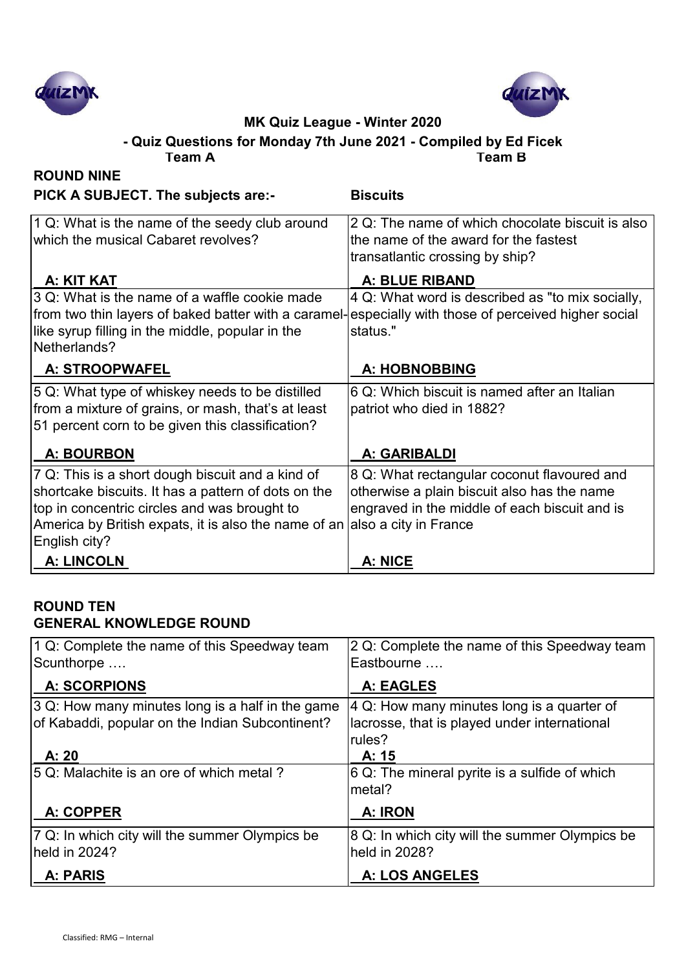



**- Quiz Questions for Monday 7th June 2021 - Compiled by Ed Ficek**

| Team A                                                                                                                                                                                                                           | Team B                                                                                                                                                               |
|----------------------------------------------------------------------------------------------------------------------------------------------------------------------------------------------------------------------------------|----------------------------------------------------------------------------------------------------------------------------------------------------------------------|
| <b>ROUND NINE</b>                                                                                                                                                                                                                |                                                                                                                                                                      |
| PICK A SUBJECT. The subjects are:-                                                                                                                                                                                               | <b>Biscuits</b>                                                                                                                                                      |
| 1 Q: What is the name of the seedy club around<br>which the musical Cabaret revolves?                                                                                                                                            | 2 Q: The name of which chocolate biscuit is also<br>the name of the award for the fastest<br>transatlantic crossing by ship?                                         |
| A: KIT KAT                                                                                                                                                                                                                       | <b>A: BLUE RIBAND</b>                                                                                                                                                |
| 3 Q: What is the name of a waffle cookie made<br>from two thin layers of baked batter with a caramel-<br>like syrup filling in the middle, popular in the<br>Netherlands?                                                        | 4 Q: What word is described as "to mix socially,<br>especially with those of perceived higher social<br>status."                                                     |
| A: STROOPWAFEL                                                                                                                                                                                                                   | A: HOBNOBBING                                                                                                                                                        |
| 5 Q: What type of whiskey needs to be distilled<br>from a mixture of grains, or mash, that's at least<br>51 percent corn to be given this classification?                                                                        | 6 Q: Which biscuit is named after an Italian<br>patriot who died in 1882?                                                                                            |
| <b>A: BOURBON</b>                                                                                                                                                                                                                | A: GARIBALDI                                                                                                                                                         |
| 7 Q: This is a short dough biscuit and a kind of<br>shortcake biscuits. It has a pattern of dots on the<br>top in concentric circles and was brought to<br>America by British expats, it is also the name of an<br>English city? | 8 Q: What rectangular coconut flavoured and<br>otherwise a plain biscuit also has the name<br>engraved in the middle of each biscuit and is<br>also a city in France |
| <b>A: LINCOLN</b>                                                                                                                                                                                                                | A: NICE                                                                                                                                                              |

## **ROUND TEN GENERAL KNOWLEDGE ROUND**

| 1 Q: Complete the name of this Speedway team<br>Scunthorpe | 2 Q: Complete the name of this Speedway team<br>Eastbourne |
|------------------------------------------------------------|------------------------------------------------------------|
| <b>A: SCORPIONS</b>                                        | A: EAGLES                                                  |
| $ 3 Q$ : How many minutes long is a half in the game       | 4 Q: How many minutes long is a quarter of                 |
| of Kabaddi, popular on the Indian Subcontinent?            | lacrosse, that is played under international               |
|                                                            | rules?                                                     |
| A: 20                                                      | A: 15                                                      |
| 5 Q: Malachite is an ore of which metal?                   | 6 Q: The mineral pyrite is a sulfide of which              |
|                                                            | metal?                                                     |
| A: COPPER                                                  | A: IRON                                                    |
| 7 Q: In which city will the summer Olympics be             | 8 Q: In which city will the summer Olympics be             |
| held in 2024?                                              | held in 2028?                                              |
| A: PARIS                                                   | A: LOS ANGELES                                             |